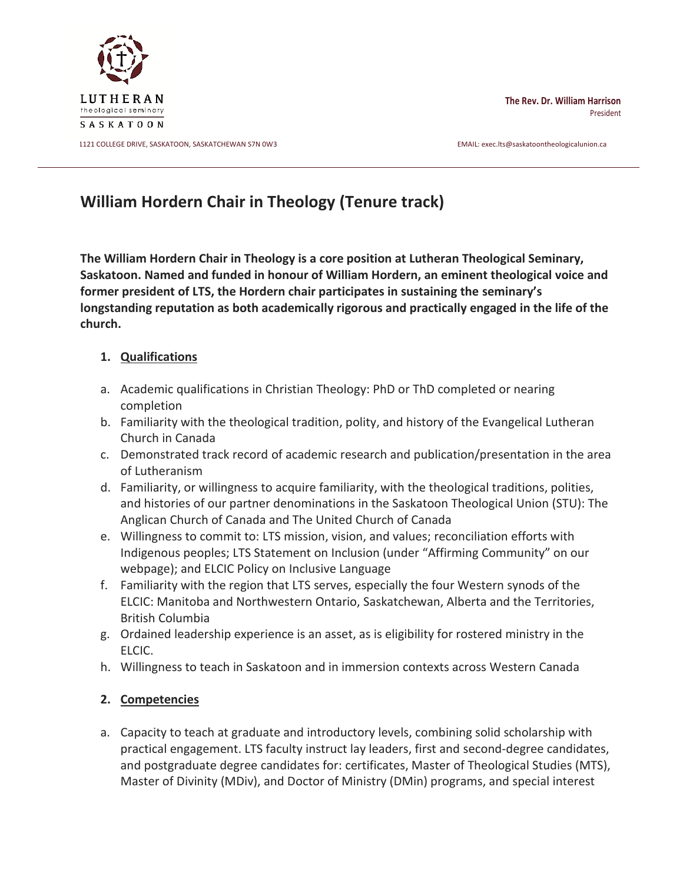

11121 COLLEGE DRIVE, SASKATOON, SASKATCHEWAN S7N 0W3 EMAIL: exec.lts@saskatoontheologicalunion.ca

**The Rev. Dr. William Harrison** President

# **William Hordern Chair in Theology (Tenure track)**

**The William Hordern Chair in Theology is a core position at Lutheran Theological Seminary, Saskatoon. Named and funded in honour of William Hordern, an eminent theological voice and former president of LTS, the Hordern chair participates in sustaining the seminary's longstanding reputation as both academically rigorous and practically engaged in the life of the church.**

## **1. Qualifications**

- a. Academic qualifications in Christian Theology: PhD or ThD completed or nearing completion
- b. Familiarity with the theological tradition, polity, and history of the Evangelical Lutheran Church in Canada
- c. Demonstrated track record of academic research and publication/presentation in the area of Lutheranism
- d. Familiarity, or willingness to acquire familiarity, with the theological traditions, polities, and histories of our partner denominations in the Saskatoon Theological Union (STU): The Anglican Church of Canada and The United Church of Canada
- e. Willingness to commit to: LTS mission, vision, and values; reconciliation efforts with Indigenous peoples; LTS Statement on Inclusion (under "Affirming Community" on our webpage); and ELCIC Policy on Inclusive Language
- f. Familiarity with the region that LTS serves, especially the four Western synods of the ELCIC: Manitoba and Northwestern Ontario, Saskatchewan, Alberta and the Territories, British Columbia
- g. Ordained leadership experience is an asset, as is eligibility for rostered ministry in the ELCIC.
- h. Willingness to teach in Saskatoon and in immersion contexts across Western Canada

## **2. Competencies**

a. Capacity to teach at graduate and introductory levels, combining solid scholarship with practical engagement. LTS faculty instruct lay leaders, first and second-degree candidates, and postgraduate degree candidates for: certificates, Master of Theological Studies (MTS), Master of Divinity (MDiv), and Doctor of Ministry (DMin) programs, and special interest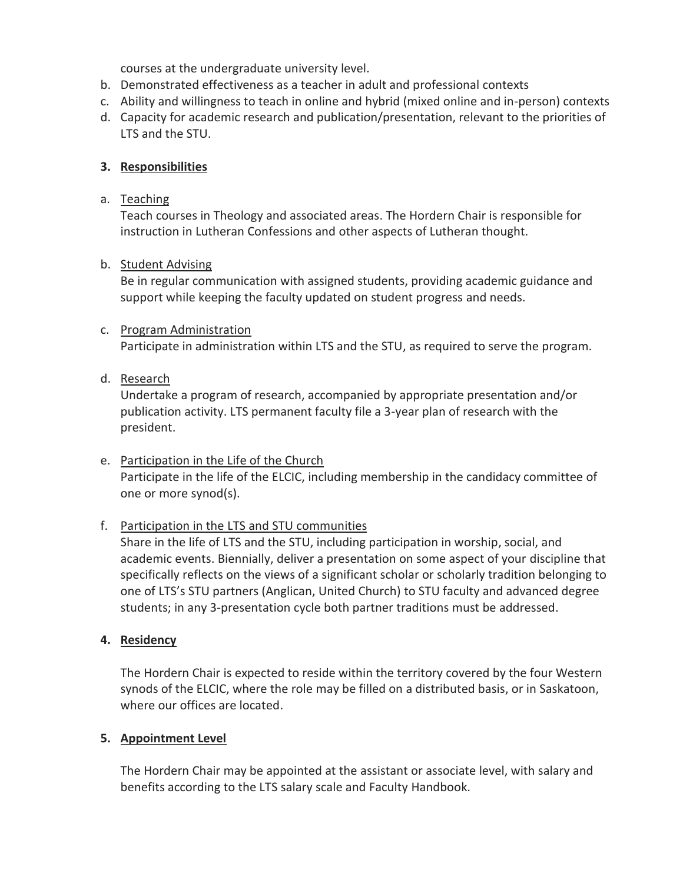courses at the undergraduate university level.

- b. Demonstrated effectiveness as a teacher in adult and professional contexts
- c. Ability and willingness to teach in online and hybrid (mixed online and in-person) contexts
- d. Capacity for academic research and publication/presentation, relevant to the priorities of LTS and the STU.

## **3. Responsibilities**

## a. Teaching

Teach courses in Theology and associated areas. The Hordern Chair is responsible for instruction in Lutheran Confessions and other aspects of Lutheran thought.

#### b. Student Advising

Be in regular communication with assigned students, providing academic guidance and support while keeping the faculty updated on student progress and needs.

#### c. Program Administration

Participate in administration within LTS and the STU, as required to serve the program.

#### d. Research

Undertake a program of research, accompanied by appropriate presentation and/or publication activity. LTS permanent faculty file a 3-year plan of research with the president.

e. Participation in the Life of the Church Participate in the life of the ELCIC, including membership in the candidacy committee of one or more synod(s).

## f. Participation in the LTS and STU communities

Share in the life of LTS and the STU, including participation in worship, social, and academic events. Biennially, deliver a presentation on some aspect of your discipline that specifically reflects on the views of a significant scholar or scholarly tradition belonging to one of LTS's STU partners (Anglican, United Church) to STU faculty and advanced degree students; in any 3-presentation cycle both partner traditions must be addressed.

## **4. Residency**

The Hordern Chair is expected to reside within the territory covered by the four Western synods of the ELCIC, where the role may be filled on a distributed basis, or in Saskatoon, where our offices are located.

## **5. Appointment Level**

The Hordern Chair may be appointed at the assistant or associate level, with salary and benefits according to the LTS salary scale and Faculty Handbook.